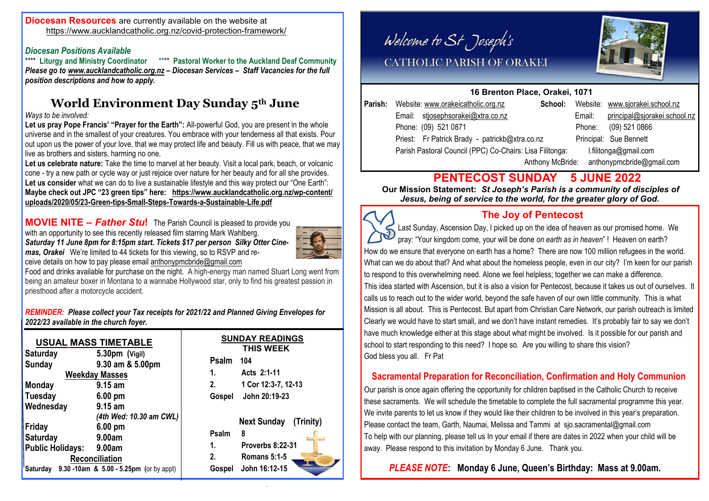#### **Diocesan Resources** are currently available on the website at <https://www.aucklandcatholic.org.nz/covid-protection-framework/>

# *Diocesan Positions Available*

\*\*\*\* **Pastoral Worker to the Auckland Deaf Community** *Please go to [www.aucklandcatholic.org.nz](http://www.aucklandcatholic.org.nz) – Diocesan Services – Staff Vacancies for the full position descriptions and how to apply.*

# **World Environment Day Sunday 5th June**

#### *Ways to be involved:*

Let us pray Pope Francis' "Prayer for the Earth": All-powerful God, you are present in the whole universe and in the smallest of your creatures. You embrace with your tenderness all that exists. Pour out upon us the power of your love, that we may protect life and beauty. Fill us with peace, that we may live as brothers and sisters, harming no one.

Let us celebrate nature: Take the time to marvel at her beauty. Visit a local park, beach, or volcanic cone - try a new path or cycle way or just rejoice over nature for her beauty and for all she provides. **Let us consider** what we can do to live a sustainable lifestyle and this way protect our "One Earth": **Maybe check out JPC "23 green tips" here: [https://www.aucklandcatholic.org.nz/wp-content/](https://www.aucklandcatholic.org.nz/wp-content/uploads/2020/05/23-Green-tips-Small-Steps-Towards-a-Sustainable-Life.pdf) [uploads/2020/05/23-Green-tips-Small-Steps-Towards-a-Sustainable-Life.pdf](https://www.aucklandcatholic.org.nz/wp-content/uploads/2020/05/23-Green-tips-Small-Steps-Towards-a-Sustainable-Life.pdf)**

**MOVIE NITE –** *Father Stu***!** The Parish Council is pleased to provide you with an opportunity to see this recently released film starring Mark Wahlberg. *Saturday 11 June 8pm for 8:15pm start. Tickets \$17 per person Silky Otter Cinemas, Orakei* We're limited to 44 tickets for this viewing, so to RSVP and receive details on how to pay please email [anthonypmcbride@gmail.com](mailto:anthonypmcbride@gmail.com) 



Food and drinks available for purchase on the night. A high-energy man named Stuart Long went from being an amateur boxer in Montana to a wannabe Hollywood star, only to find his greatest passion in priesthood after a motorcycle accident.

*REMINDER: Please collect your Tax receipts for 2021/22 and Planned Giving Envelopes for 2022/23 available in the church foyer.*

| <b>USUAL MASS TIMETABLE</b>                       |                                                                                                   |                             | <b>SUNDAY READINGS</b><br><b>THIS WEEK</b>                           |
|---------------------------------------------------|---------------------------------------------------------------------------------------------------|-----------------------------|----------------------------------------------------------------------|
| <b>Saturday</b><br><b>Sunday</b><br><b>Monday</b> | 5.30pm (Vigil)<br>9.30 am & 5.00pm<br><b>Weekday Masses</b><br>9.15 am                            | <b>Psalm</b><br>1.<br>2.    | 104<br>Acts 2:1-11<br>1 Cor 12:3-7, 12-13                            |
| <b>Tuesday</b><br>Wednesday<br>Friday             | $6.00$ pm<br>9.15 am<br>(4th Wed: 10.30 am CWL)<br>$6.00 \text{ pm}$                              | Gospel                      | John 20:19-23<br><b>Next Sunday</b><br>(Trinity)                     |
| <b>Saturday</b><br>Public Holidays:               | 9.00am<br>9.00am<br><b>Reconciliation</b><br>Saturday $9.30 - 10$ am & 5.00 - 5.25pm (or by appt) | Psalm<br>1.<br>2.<br>Gospel | 8<br><b>Proverbs 8:22-31</b><br><b>Romans 5:1-5</b><br>John 16:12-15 |

Welcome to St Joseph's



# CATHOLIC PARISH OF ORAKEI

### **16 Brenton Place, Orakei, 1071**

|  | Parish: Website: www.orakeicatholic.org.nz               | School:          |        | Website: www.sjorakei.school.nz |
|--|----------------------------------------------------------|------------------|--------|---------------------------------|
|  | Email: stjosephsorakei@xtra.co.nz                        |                  | Email: | principal@sjorakei.school.nz    |
|  | Phone: (09) 521 0871                                     |                  | Phone: | (09) 521 0866                   |
|  | Priest: Fr Patrick Brady - patrickb@xtra.co.nz           |                  |        | Principal: Sue Bennett          |
|  | Parish Pastoral Council (PPC) Co-Chairs: Lisa Filitonga: |                  |        | l.filitonga@gmail.com           |
|  |                                                          | Anthony McBride: |        | anthonypmcbride@gmail.com       |

# **PENTECOST SUNDAY 5 JUNE 2022**

 **Our Mission Statement:** *St Joseph's Parish is a community of disciples of Jesus, being of service to the world, for the greater glory of God.* 



## **The Joy of Pentecost**

Last Sunday, Ascension Day, I picked up on the idea of heaven as our promised home. We pray: "Your kingdom come, your will be done *on earth as in heaven*" ! Heaven on earth? How do we ensure that everyone on earth has a home? There are now 100 million refugees in the world. What can we do about that? And what about the homeless people, even in our city? I'm keen for our parish to respond to this overwhelming need. Alone we feel helpless; together we can make a difference. This idea started with Ascension, but it is also a vision for Pentecost, because it takes us out of ourselves. It calls us to reach out to the wider world, beyond the safe haven of our own little community. This is what Mission is all about. This is Pentecost. But apart from Christian Care Network, our parish outreach is limited Clearly we would have to start small, and we don't have instant remedies. It's probably fair to say we don't have much knowledge either at this stage about what might be involved. Is it possible for our parish and school to start responding to this need? I hope so. Are you willing to share this vision? God bless you all. Fr Pat

## **Sacramental Preparation for Reconciliation, Confirmation and Holy Communion**

Our parish is once again offering the opportunity for children baptised in the Catholic Church to receive these sacraments. We will schedule the timetable to complete the full sacramental programme this year. We invite parents to let us know if they would like their children to be involved in this year's preparation. Please contact the team, Garth, Naumai, Melissa and Tammi at sjo.sacramental@gmail.com To help with our planning, please tell us In your email if there are dates in 2022 when your child will be away. Please respond to this invitation by Monday 6 June. Thank you.

## *PLEASE NOTE***: Monday 6 June, Queen's Birthday: Mass at 9.00am.**